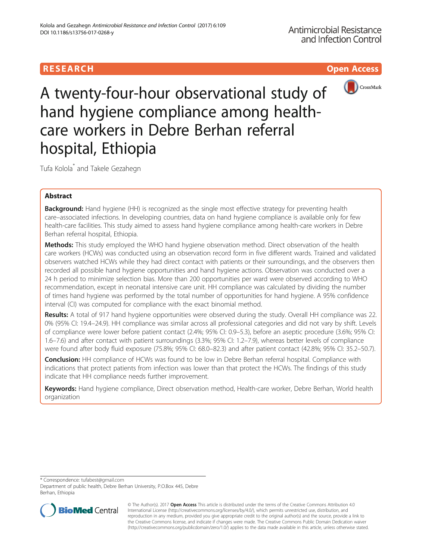# **RESEARCH CHILD CONTROL** CONTROL CONTROL CONTROL CONTROL CONTROL CONTROL CONTROL CONTROL CONTROL CONTROL CONTROL



A twenty-four-hour observational study of hand hygiene compliance among healthcare workers in Debre Berhan referral hospital, Ethiopia

Tufa Kolola\* and Takele Gezahegn

# Abstract

Background: Hand hygiene (HH) is recognized as the single most effective strategy for preventing health care–associated infections. In developing countries, data on hand hygiene compliance is available only for few health-care facilities. This study aimed to assess hand hygiene compliance among health-care workers in Debre Berhan referral hospital, Ethiopia.

Methods: This study employed the WHO hand hygiene observation method. Direct observation of the health care workers (HCWs) was conducted using an observation record form in five different wards. Trained and validated observers watched HCWs while they had direct contact with patients or their surroundings, and the observers then recorded all possible hand hygiene opportunities and hand hygiene actions. Observation was conducted over a 24 h period to minimize selection bias. More than 200 opportunities per ward were observed according to WHO recommendation, except in neonatal intensive care unit. HH compliance was calculated by dividing the number of times hand hygiene was performed by the total number of opportunities for hand hygiene. A 95% confidence interval (CI) was computed for compliance with the exact binomial method.

Results: A total of 917 hand hygiene opportunities were observed during the study. Overall HH compliance was 22. 0% (95% CI: 19.4–24.9). HH compliance was similar across all professional categories and did not vary by shift. Levels of compliance were lower before patient contact (2.4%; 95% CI: 0.9–5.3), before an aseptic procedure (3.6%; 95% CI: 1.6–7.6) and after contact with patient surroundings (3.3%; 95% CI: 1.2–7.9), whereas better levels of compliance were found after body fluid exposure (75.8%; 95% CI: 68.0–82.3) and after patient contact (42.8%; 95% CI: 35.2–50.7).

Conclusion: HH compliance of HCWs was found to be low in Debre Berhan referral hospital. Compliance with indications that protect patients from infection was lower than that protect the HCWs. The findings of this study indicate that HH compliance needs further improvement.

Keywords: Hand hygiene compliance, Direct observation method, Health-care worker, Debre Berhan, World health organization

\* Correspondence: [tufabest@gmail.com](mailto:tufabest@gmail.com)

Department of public health, Debre Berhan University, P.O.Box 445, Debre Berhan, Ethiopia



© The Author(s). 2017 **Open Access** This article is distributed under the terms of the Creative Commons Attribution 4.0 International License [\(http://creativecommons.org/licenses/by/4.0/](http://creativecommons.org/licenses/by/4.0/)), which permits unrestricted use, distribution, and reproduction in any medium, provided you give appropriate credit to the original author(s) and the source, provide a link to the Creative Commons license, and indicate if changes were made. The Creative Commons Public Domain Dedication waiver [\(http://creativecommons.org/publicdomain/zero/1.0/](http://creativecommons.org/publicdomain/zero/1.0/)) applies to the data made available in this article, unless otherwise stated.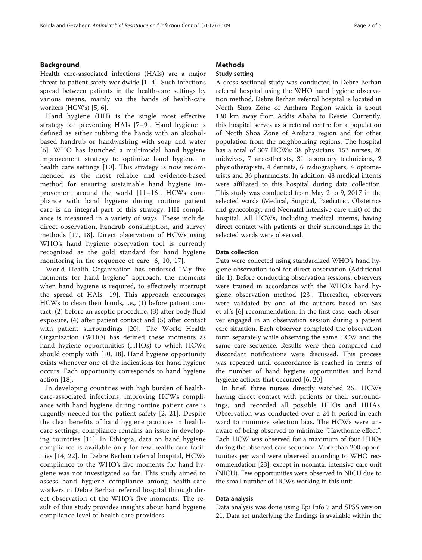# Background

Health care-associated infections (HAIs) are a major threat to patient safety worldwide [[1](#page-4-0)–[4\]](#page-4-0). Such infections spread between patients in the health-care settings by various means, mainly via the hands of health-care workers (HCWs) [\[5](#page-4-0), [6](#page-4-0)].

Hand hygiene (HH) is the single most effective strategy for preventing HAIs [[7](#page-4-0)–[9](#page-4-0)]. Hand hygiene is defined as either rubbing the hands with an alcoholbased handrub or handwashing with soap and water [[6](#page-4-0)]. WHO has launched a multimodal hand hygiene improvement strategy to optimize hand hygiene in health care settings [[10](#page-4-0)]. This strategy is now recommended as the most reliable and evidence-based method for ensuring sustainable hand hygiene improvement around the world [\[11](#page-4-0)–[16](#page-4-0)]. HCWs compliance with hand hygiene during routine patient care is an integral part of this strategy. HH compliance is measured in a variety of ways. These include: direct observation, handrub consumption, and survey methods [[17, 18\]](#page-4-0). Direct observation of HCWs using WHO's hand hygiene observation tool is currently recognized as the gold standard for hand hygiene monitoring in the sequence of care [[6](#page-4-0), [10, 17\]](#page-4-0).

World Health Organization has endorsed "My five moments for hand hygiene" approach, the moments when hand hygiene is required, to effectively interrupt the spread of HAIs [\[19](#page-4-0)]. This approach encourages HCWs to clean their hands, i.e., (1) before patient contact, (2) before an aseptic procedure, (3) after body fluid exposure, (4) after patient contact and (5) after contact with patient surroundings [[20](#page-4-0)]. The World Health Organization (WHO) has defined these moments as hand hygiene opportunities (HHOs) to which HCWs should comply with [[10, 18](#page-4-0)]. Hand hygiene opportunity exists whenever one of the indications for hand hygiene occurs. Each opportunity corresponds to hand hygiene action [\[18](#page-4-0)].

In developing countries with high burden of healthcare-associated infections, improving HCWs compliance with hand hygiene during routine patient care is urgently needed for the patient safety [[2, 21](#page-4-0)]. Despite the clear benefits of hand hygiene practices in healthcare settings, compliance remains an issue in developing countries [[11](#page-4-0)]. In Ethiopia, data on hand hygiene compliance is available only for few health-care facilities [\[14, 22](#page-4-0)]. In Debre Berhan referral hospital, HCWs compliance to the WHO's five moments for hand hygiene was not investigated so far. This study aimed to assess hand hygiene compliance among health-care workers in Debre Berhan referral hospital through direct observation of the WHO's five moments. The result of this study provides insights about hand hygiene compliance level of health care providers.

# **Methods**

# Study setting

A cross-sectional study was conducted in Debre Berhan referral hospital using the WHO hand hygiene observation method. Debre Berhan referral hospital is located in North Shoa Zone of Amhara Region which is about 130 km away from Addis Ababa to Dessie. Currently, this hospital serves as a referral centre for a population of North Shoa Zone of Amhara region and for other population from the neighbouring regions. The hospital has a total of 307 HCWs: 38 physicians, 153 nurses, 26 midwives, 7 anaesthetists, 31 laboratory technicians, 2 physiotherapists, 4 dentists, 6 radiographers, 4 optometrists and 36 pharmacists. In addition, 48 medical interns were affiliated to this hospital during data collection. This study was conducted from May 2 to 9, 2017 in the selected wards (Medical, Surgical, Paediatric, Obstetrics and gynecology, and Neonatal intensive care unit) of the hospital. All HCWs, including medical interns, having direct contact with patients or their surroundings in the selected wards were observed.

### Data collection

Data were collected using standardized WHO's hand hygiene observation tool for direct observation (Additional file [1\)](#page-3-0). Before conducting observation sessions, observers were trained in accordance with the WHO's hand hygiene observation method [[23](#page-4-0)]. Thereafter, observers were validated by one of the authors based on Sax et al.'s [[6\]](#page-4-0) recommendation. In the first case, each observer engaged in an observation session during a patient care situation. Each observer completed the observation form separately while observing the same HCW and the same care sequence. Results were then compared and discordant notifications were discussed. This process was repeated until concordance is reached in terms of the number of hand hygiene opportunities and hand hygiene actions that occurred [[6, 20\]](#page-4-0).

In brief, three nurses directly watched 261 HCWs having direct contact with patients or their surroundings, and recorded all possible HHOs and HHAs. Observation was conducted over a 24 h period in each ward to minimize selection bias. The HCWs were unaware of being observed to minimize "Hawthorne effect". Each HCW was observed for a maximum of four HHOs during the observed care sequence. More than 200 opportunities per ward were observed according to WHO recommendation [\[23](#page-4-0)], except in neonatal intensive care unit (NICU). Few opportunities were observed in NICU due to the small number of HCWs working in this unit.

### Data analysis

Data analysis was done using Epi Info 7 and SPSS version 21. Data set underlying the findings is available within the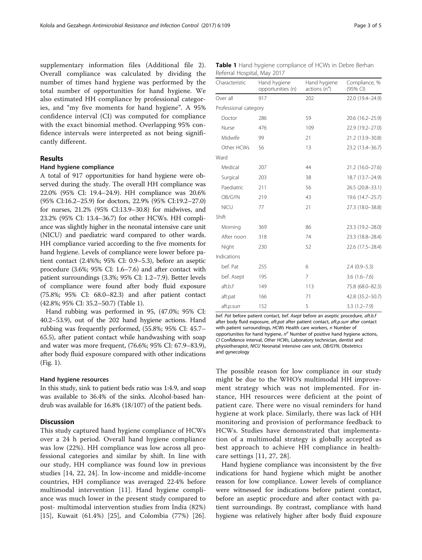supplementary information files (Additional file [2](#page-3-0)). Overall compliance was calculated by dividing the number of times hand hygiene was performed by the total number of opportunities for hand hygiene. We also estimated HH compliance by professional categories, and "my five moments for hand hygiene". A 95% confidence interval (CI) was computed for compliance with the exact binomial method. Overlapping 95% confidence intervals were interpreted as not being significantly different.

## Results

### Hand hygiene compliance

A total of 917 opportunities for hand hygiene were observed during the study. The overall HH compliance was 22.0% (95% CI: 19.4–24.9). HH compliance was 20.6% (95% CI:16.2–25.9) for doctors, 22.9% (95% CI:19.2–27.0) for nurses, 21.2% (95% CI:13.9–30.8) for midwives, and 23.2% (95% CI: 13.4–36.7) for other HCWs. HH compliance was slightly higher in the neonatal intensive care unit (NICU) and paediatric ward compared to other wards. HH compliance varied according to the five moments for hand hygiene. Levels of compliance were lower before patient contact (2.4%%; 95% CI: 0.9–5.3), before an aseptic procedure (3.6%; 95% CI: 1.6–7.6) and after contact with patient surroundings (3.3%; 95% CI: 1.2–7.9). Better levels of compliance were found after body fluid exposure (75.8%; 95% CI: 68.0–82.3) and after patient contact (42.8%; 95% CI: 35.2–50.7) (Table 1).

Hand rubbing was performed in 95, (47.0%; 95% CI: 40.2–53.9), out of the 202 hand hygiene actions. Hand rubbing was frequently performed, (55.8%; 95% CI: 45.7– 65.5), after patient contact while handwashing with soap and water was more frequent, (76.6%; 95% CI: 67.9–83.9), after body fluid exposure compared with other indications (Fig. [1](#page-3-0)).

### Hand hygiene resources

In this study, sink to patient beds ratio was 1:4.9, and soap was available to 36.4% of the sinks. Alcohol-based handrub was available for 16.8% (18/107) of the patient beds.

## **Discussion**

This study captured hand hygiene compliance of HCWs over a 24 h period. Overall hand hygiene compliance was low (22%). HH compliance was low across all professional categories and similar by shift. In line with our study, HH compliance was found low in previous studies [\[14, 22](#page-4-0), [24](#page-4-0)]. In low-income and middle-income countries, HH compliance was averaged 22·4% before multimodal intervention [[11\]](#page-4-0). Hand hygiene compliance was much lower in the present study compared to post- multimodal intervention studies from India (82%) [[15\]](#page-4-0), Kuwait (61.4%) [\[25](#page-4-0)], and Colombia (77%) [\[26](#page-4-0)].

| <b>Table 1</b> Hand hygiene compliance of HCWs in Debre Berhan |  |  |
|----------------------------------------------------------------|--|--|
| Referral Hospital, May 2017                                    |  |  |

| Characteristic        | Hand hygiene<br>opportunities (n) | Hand hygiene<br>actions $(n^a)$ | Compliance, %<br>(95% CI) |
|-----------------------|-----------------------------------|---------------------------------|---------------------------|
| Over all              | 917                               | 202                             | 22.0 (19.4-24.9)          |
| Professional category |                                   |                                 |                           |
| Doctor                | 286                               | 59                              | 20.6 (16.2-25.9)          |
| Nurse                 | 476                               | 109                             | 22.9 (19.2-27.0)          |
| Midwife               | 99                                | 21                              | 21.2 (13.9-30.8)          |
| Other HCWs            | 56                                | 13                              | 23.2 (13.4-36.7)          |
| Ward                  |                                   |                                 |                           |
| Medical               | 207                               | 44                              | 21.2 (16.0-27.6)          |
| Surgical              | 203                               | 38                              | 18.7 (13.7-24.9)          |
| Paediatric            | 211                               | 56                              | 26.5 (20.8-33.1)          |
| OB/GYN                | 219                               | 43                              | 19.6 (14.7-25.7)          |
| <b>NICU</b>           | 77                                | 21                              | 27.3 (18.0-38.8)          |
| Shift                 |                                   |                                 |                           |
| Morning               | 369                               | 86                              | 23.3 (19.2-28.0)          |
| After noon            | 318                               | 74                              | 23.3 (18.8-28.4)          |
| Night                 | 230                               | 52                              | 22.6 (17.5 - 28.4)        |
| Indications           |                                   |                                 |                           |
| bef. Pat              | 255                               | 6                               | $2.4(0.9-5.3)$            |
| bef. Asept            | 195                               | 7                               | $3.6(1.6 - 7.6)$          |
| aft.b.f               | 149                               | 113                             | 75.8 (68.0-82.3)          |
| aft.pat               | 166                               | 71                              | 42.8 (35.2-50.7)          |
| aft.p.surr            | 152                               | 5                               | $3.3(1.2 - 7.9)$          |

bef. Pat before patient contact, bef. Asept before an aseptic procedure, aft.b.f after body fluid exposure, aft.pat after patient contact, aft.p.surr after contact with patient surroundings, HCWs Health care workers, n Number of opportunities for hand hygiene,  $n^a$  Number of positive hand hygiene actions, CI Confidence interval, Other HCWs, Laboratory technician, dentist and physiotherapist, NICU Neonatal intensive care unit, OB/GYN, Obstetrics and gynecology

The possible reason for low compliance in our study might be due to the WHO's multimodal HH improvement strategy which was not implemented. For instance, HH resources were deficient at the point of patient care. There were no visual reminders for hand hygiene at work place. Similarly, there was lack of HH monitoring and provision of performance feedback to HCWs. Studies have demonstrated that implementation of a multimodal strategy is globally accepted as best approach to achieve HH compliance in healthcare settings [[11](#page-4-0), [27, 28](#page-4-0)].

Hand hygiene compliance was inconsistent by the five indications for hand hygiene which might be another reason for low compliance. Lower levels of compliance were witnessed for indications before patient contact, before an aseptic procedure and after contact with patient surroundings. By contrast, compliance with hand hygiene was relatively higher after body fluid exposure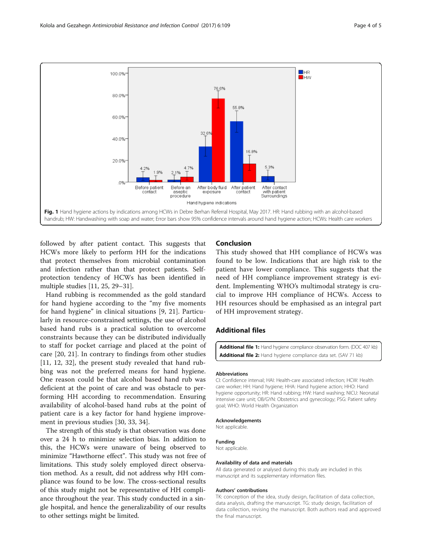<span id="page-3-0"></span>

followed by after patient contact. This suggests that HCWs more likely to perform HH for the indications that protect themselves from microbial contamination and infection rather than that protect patients. Selfprotection tendency of HCWs has been identified in multiple studies [[11, 25, 29](#page-4-0)–[31](#page-4-0)].

Hand rubbing is recommended as the gold standard for hand hygiene according to the "my five moments for hand hygiene" in clinical situations [\[9](#page-4-0), [21](#page-4-0)]. Particularly in resource-constrained settings, the use of alcohol based hand rubs is a practical solution to overcome constraints because they can be distributed individually to staff for pocket carriage and placed at the point of care [\[20](#page-4-0), [21\]](#page-4-0). In contrary to findings from other studies [[11, 12](#page-4-0), [32](#page-4-0)], the present study revealed that hand rubbing was not the preferred means for hand hygiene. One reason could be that alcohol based hand rub was deficient at the point of care and was obstacle to performing HH according to recommendation. Ensuring availability of alcohol-based hand rubs at the point of patient care is a key factor for hand hygiene improvement in previous studies [[30, 33, 34\]](#page-4-0).

The strength of this study is that observation was done over a 24 h to minimize selection bias. In addition to this, the HCWs were unaware of being observed to minimize "Hawthorne effect". This study was not free of limitations. This study solely employed direct observation method. As a result, did not address why HH compliance was found to be low. The cross-sectional results of this study might not be representative of HH compliance throughout the year. This study conducted in a single hospital, and hence the generalizability of our results to other settings might be limited.

# Conclusion

This study showed that HH compliance of HCWs was found to be low. Indications that are high risk to the patient have lower compliance. This suggests that the need of HH compliance improvement strategy is evident. Implementing WHO's multimodal strategy is crucial to improve HH compliance of HCWs. Access to HH resources should be emphasised as an integral part of HH improvement strategy.

## Additional files

[Additional file 1:](dx.doi.org/10.1186/s13756-017-0268-y) Hand hygiene compliance observation form. (DOC 407 kb) [Additional file 2:](dx.doi.org/10.1186/s13756-017-0268-y) Hand hygiene compliance data set. (SAV 71 kb)

#### Abbreviations

CI: Confidence interval; HAI: Health-care associated infection; HCW: Health care worker; HH: Hand hygiene; HHA: Hand hygiene action; HHO: Hand hygiene opportunity; HR: Hand rubbing; HW: Hand washing; NICU: Neonatal intensive care unit; OB/GYN: Obstetrics and gynecology; PSG: Patient safety goal; WHO: World Health Organization

## Acknowledgements

Not applicable.

#### Funding

Not applicable.

# Availability of data and materials

All data generated or analysed during this study are included in this manuscript and its supplementary information files.

#### Authors' contributions

TK: conception of the idea, study design, facilitation of data collection, data analysis, drafting the manuscript. TG: study design, facilitation of data collection, revising the manuscript. Both authors read and approved the final manuscript.